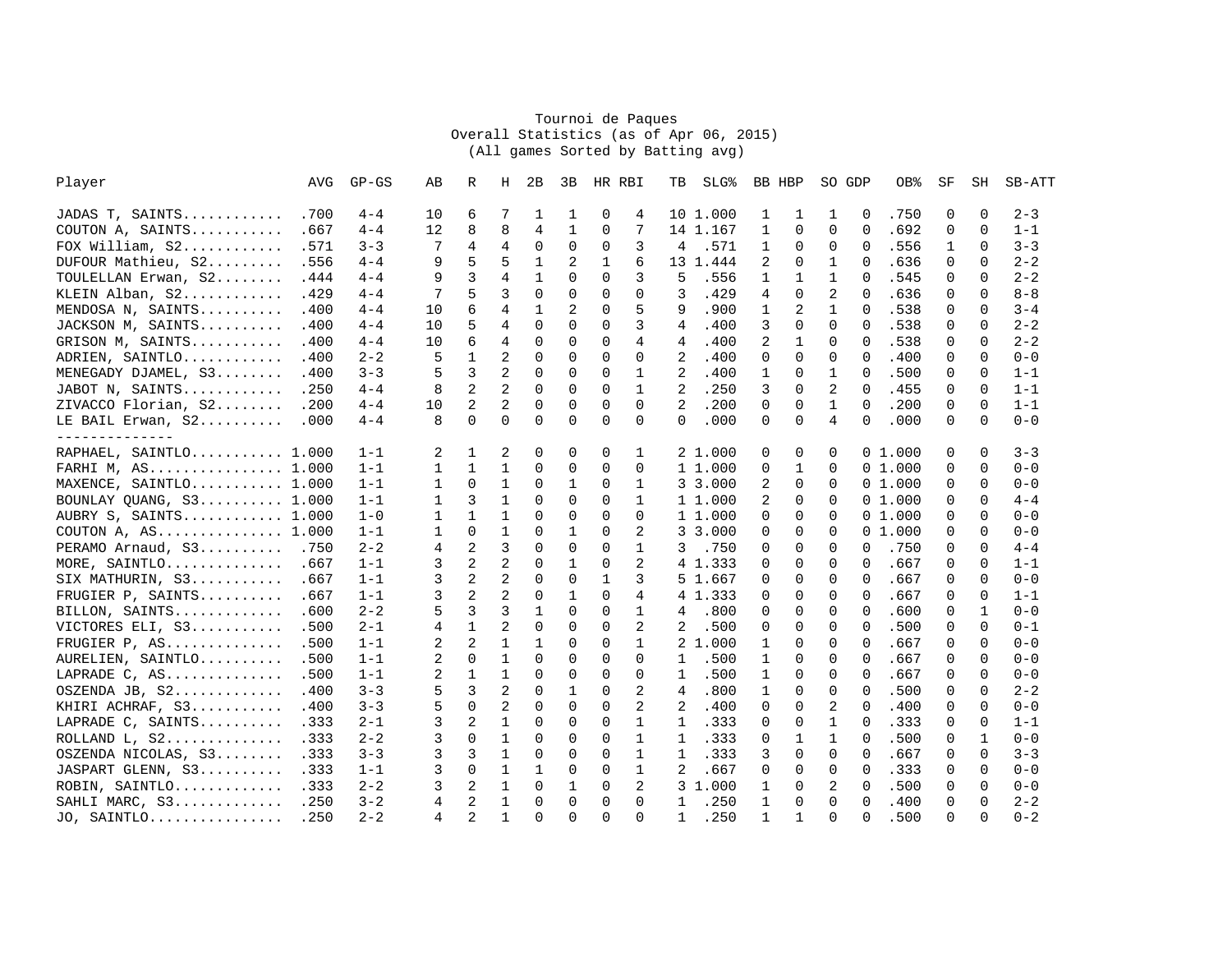## Tournoi de PaquesOverall Statistics (as of Apr 06, 2015) (All games Sorted by Batting avg)

| Player                  | AVG  | $GP - GS$ | AВ | R              | Н              | 2B           | 3B           | HR RBI      |                | TВ             | SLG <sup>8</sup> |              | BB HBP       | SO GDP         |          | OB%    | SF       | SH           | SB-ATT  |
|-------------------------|------|-----------|----|----------------|----------------|--------------|--------------|-------------|----------------|----------------|------------------|--------------|--------------|----------------|----------|--------|----------|--------------|---------|
| JADAS T, SAINTS         | .700 | $4 - 4$   | 10 | 6              | 7              | 1            | 1            | 0           | 4              |                | 10 1.000         | 1            | 1            | 1              | 0        | .750   | 0        | 0            | $2 - 3$ |
| COUTON A, SAINTS        | .667 | $4 - 4$   | 12 | 8              | 8              | 4            | $\mathbf{1}$ | $\mathbf 0$ | 7              |                | 14 1.167         | 1            | 0            | $\Omega$       | $\Omega$ | .692   | 0        | 0            | $1 - 1$ |
| FOX William, $S2$       | .571 | $3 - 3$   | 7  | 4              | 4              | $\mathbf 0$  | $\mathbf 0$  | $\mathbf 0$ | 3              | 4              | .571             | 1            | 0            | 0              | $\Omega$ | .556   | 1        | 0            | $3 - 3$ |
| DUFOUR Mathieu, S2      | .556 | $4 - 4$   | 9  | 5              | 5              | $\mathbf 1$  | 2            | 1           | 6              |                | 13 1.444         | 2            | 0            | 1              | $\Omega$ | .636   | 0        | $\Omega$     | $2 - 2$ |
| TOULELLAN Erwan, S2     | .444 | $4 - 4$   | 9  | 3              | 4              | $\mathbf{1}$ | $\Omega$     | $\Omega$    | 3              | 5              | .556             | 1            | 1            | 1              | $\Omega$ | .545   | $\Omega$ | $\Omega$     | $2 - 2$ |
| KLEIN Alban, S2         | .429 | $4 - 4$   | 7  | 5              | 3              | $\Omega$     | $\Omega$     | 0           | 0              | 3              | .429             | 4            | $\Omega$     | 2              | $\Omega$ | .636   | $\Omega$ | $\Omega$     | $8 - 8$ |
| MENDOSA N, SAINTS       | .400 | $4 - 4$   | 10 | б              | 4              | 1            | 2            | $\Omega$    | 5              | 9              | .900             | 1            | 2            | $\mathbf{1}$   | $\Omega$ | .538   | $\Omega$ | $\Omega$     | $3 - 4$ |
| JACKSON M, SAINTS       | .400 | $4 - 4$   | 10 | 5              | 4              | $\Omega$     | $\Omega$     | $\Omega$    | 3              | 4              | .400             | 3            | 0            | $\Omega$       | $\Omega$ | .538   | 0        | $\Omega$     | $2 - 2$ |
| GRISON M, SAINTS        | .400 | $4 - 4$   | 10 | 6              | 4              | $\Omega$     | $\mathbf 0$  | $\Omega$    | 4              | 4              | .400             | 2            | 1            | 0              | $\Omega$ | .538   | 0        | $\Omega$     | $2 - 2$ |
| ADRIEN, SAINTLO         | .400 | $2 - 2$   | 5  | $\mathbf{1}$   | 2              | $\Omega$     | $\Omega$     | $\Omega$    | $\Omega$       | $\overline{2}$ | .400             | $\Omega$     | $\Omega$     | $\Omega$       | $\Omega$ | .400   | $\Omega$ | $\Omega$     | $0 - 0$ |
| MENEGADY DJAMEL, S3     | .400 | $3 - 3$   | 5  | 3              | 2              | 0            | $\Omega$     | 0           | $\mathbf{1}$   | 2              | .400             | 1            | $\Omega$     | 1              | $\Omega$ | .500   | 0        | 0            | $1 - 1$ |
| JABOT N, SAINTS         | .250 | $4 - 4$   | 8  | 2              | 2              | 0            | $\Omega$     | $\mathbf 0$ | 1              | 2              | .250             | 3            | 0            | 2              | $\Omega$ | .455   | 0        | $\Omega$     | $1 - 1$ |
| ZIVACCO Florian, S2     | .200 | $4 - 4$   | 10 | 2              | 2              | $\Omega$     | $\Omega$     | $\Omega$    | 0              | 2              | .200             | $\Omega$     | $\mathbf 0$  | $\mathbf{1}$   | $\Omega$ | .200   | 0        | $\Omega$     | $1 - 1$ |
| LE BAIL Erwan, S2       | .000 | $4 - 4$   | 8  | 0              | $\mathbf 0$    | $\Omega$     | $\mathbf 0$  | $\Omega$    | 0              | $\mathbf 0$    | .000             | $\Omega$     | $\mathbf 0$  | 4              | $\Omega$ | .000   | 0        | $\Omega$     | $0 - 0$ |
| ---------------         |      |           |    |                |                |              |              |             |                |                |                  |              |              |                |          |        |          |              |         |
| RAPHAEL, SAINTLO 1.000  |      | $1 - 1$   | 2  | $\mathbf{1}$   | 2              | $\Omega$     | $\Omega$     | $\Omega$    | $\mathbf{1}$   |                | 2 1.000          | 0            | 0            | $\Omega$       |          | 01.000 | $\Omega$ | $\Omega$     | $3 - 3$ |
| FARHI M, AS 1.000       |      | $1 - 1$   | 1  | $\mathbf{1}$   | $\mathbf{1}$   | $\Omega$     | $\Omega$     | $\Omega$    | $\Omega$       |                | 1 1.000          | 0            | 1            | $\Omega$       |          | 01.000 | $\Omega$ | $\Omega$     | $0 - 0$ |
| MAXENCE, SAINTLO 1.000  |      | $1 - 1$   | 1  | $\Omega$       | 1              | $\Omega$     | 1            | $\Omega$    | $\mathbf{1}$   |                | 3 3.000          | 2            | $\Omega$     | $\Omega$       |          | 01.000 | $\Omega$ | $\Omega$     | $0 - 0$ |
| BOUNLAY QUANG, S3 1.000 |      | $1 - 1$   | 1  | 3              | $\mathbf{1}$   | $\Omega$     | $\Omega$     | $\Omega$    | $\mathbf{1}$   |                | 1 1.000          | 2            | $\Omega$     | $\Omega$       |          | 01.000 | $\Omega$ | $\Omega$     | $4 - 4$ |
| AUBRY S, SAINTS 1.000   |      | $1 - 0$   | 1  | $\mathbf{1}$   | 1              | $\Omega$     | $\mathbf 0$  | $\Omega$    | $\Omega$       |                | 1 1.000          | 0            | 0            | 0              |          | 01.000 | 0        | $\Omega$     | $0 - 0$ |
| COUTON A, $AS$ 1.000    |      | $1 - 1$   | 1  | 0              | $\mathbf 1$    | 0            | 1            | 0           | 2              |                | 3 3.000          | 0            | 0            | 0              |          | 01.000 | 0        | 0            | $0 - 0$ |
| PERAMO Arnaud, S3 .750  |      | $2 - 2$   | 4  | $\overline{2}$ | 3              | $\Omega$     | $\Omega$     | $\Omega$    | $\mathbf{1}$   | 3              | .750             | 0            | 0            | $\Omega$       | $\Omega$ | .750   | $\Omega$ | $\Omega$     | $4 - 4$ |
| MORE, SAINTLO .667      |      | $1 - 1$   | 3  | 2              | 2              | 0            | $\mathbf{1}$ | $\mathbf 0$ | 2              |                | 4 1.333          | 0            | 0            | 0              | $\Omega$ | .667   | 0        | 0            | $1 - 1$ |
| SIX MATHURIN, S3        | .667 | $1 - 1$   | 3  | 2              | 2              | 0            | $\mathbf 0$  | 1           | 3              |                | 5 1.667          | 0            | 0            | 0              | $\Omega$ | .667   | 0        | 0            | $0 - 0$ |
| FRUGIER P, SAINTS       | .667 | $1 - 1$   | 3  | $\overline{2}$ | $\overline{a}$ | $\Omega$     | $\mathbf{1}$ | $\Omega$    | 4              |                | 4 1.333          | $\Omega$     | $\Omega$     | $\Omega$       | $\Omega$ | .667   | $\Omega$ | $\Omega$     | $1 - 1$ |
| BILLON, SAINTS          | .600 | $2 - 2$   | 5  | 3              | 3              | 1            | $\Omega$     | $\Omega$    | $\mathbf{1}$   | 4              | .800             | 0            | 0            | $\Omega$       | $\Omega$ | .600   | 0        | 1            | $0 - 0$ |
| VICTORES ELI, S3        | .500 | $2 - 1$   | 4  | $\mathbf{1}$   | 2              | $\Omega$     | $\Omega$     | $\Omega$    | $\overline{a}$ | 2              | .500             | 0            | $\Omega$     | $\Omega$       | $\Omega$ | .500   | 0        | $\Omega$     | $0 - 1$ |
| FRUGIER P, AS           | .500 | $1 - 1$   | 2  | 2              | $\mathbf{1}$   | $\mathbf{1}$ | $\Omega$     | $\Omega$    | $\mathbf{1}$   |                | 2 1.000          | $\mathbf{1}$ | $\Omega$     | $\Omega$       | $\Omega$ | .667   | $\Omega$ | $\Omega$     | $0 - 0$ |
| AURELIEN, SAINTLO       | .500 | $1 - 1$   | 2  | 0              | 1              | $\Omega$     | $\Omega$     | $\mathbf 0$ | $\Omega$       | $\mathbf{1}$   | .500             | 1            | $\Omega$     | 0              | $\Omega$ | .667   | $\Omega$ | $\mathbf 0$  | $0 - 0$ |
| LAPRADE C, AS           | .500 | $1 - 1$   | 2  | 1              | $\mathbf{1}$   | $\Omega$     | $\Omega$     | 0           | $\Omega$       | 1              | .500             | 1            | $\Omega$     | $\Omega$       | $\Omega$ | .667   | 0        | $\mathbf 0$  | $0 - 0$ |
| OSZENDA JB, S2          | .400 | $3 - 3$   | 5  | 3              | 2              | $\Omega$     | $\mathbf{1}$ | $\Omega$    | 2              | 4              | .800             | 1            | $\Omega$     | $\Omega$       | $\Omega$ | .500   | $\Omega$ | $\Omega$     | $2 - 2$ |
| KHIRI ACHRAF, S3        | .400 | $3 - 3$   | 5  | 0              | 2              | $\Omega$     | $\mathbf 0$  | $\mathbf 0$ | 2              | 2              | .400             | 0            | 0            | 2              | $\Omega$ | .400   | 0        | $\mathbf 0$  | $0 - 0$ |
| LAPRADE C, SAINTS       | .333 | $2 - 1$   | 3  | 2              | $\mathbf{1}$   | 0            | $\mathbf 0$  | 0           | $\mathbf{1}$   | $\mathbf{1}$   | .333             | 0            | 0            | 1              | $\Omega$ | .333   | 0        | 0            | $1 - 1$ |
|                         | .333 | $2 - 2$   | 3  | $\Omega$       | 1              | $\Omega$     | $\Omega$     | $\Omega$    | $\mathbf{1}$   | $\mathbf{1}$   | .333             | 0            | $\mathbf{1}$ | 1              | $\Omega$ | .500   | $\Omega$ | $\mathbf{1}$ | $0 - 0$ |
| OSZENDA NICOLAS, S3     | .333 | $3 - 3$   | 3  | 3              | 1              | $\Omega$     | $\Omega$     | $\Omega$    | $\mathbf{1}$   | $\mathbf{1}$   | .333             | 3            | $\Omega$     | $\Omega$       | $\Omega$ | .667   | $\Omega$ | $\Omega$     | $3 - 3$ |
| JASPART GLENN, S3       | .333 | $1 - 1$   | 3  | $\Omega$       | 1              | 1            | $\Omega$     | 0           | $\mathbf{1}$   | 2              | .667             | 0            | $\Omega$     | $\Omega$       | $\Omega$ | .333   | $\Omega$ | $\Omega$     | $0 - 0$ |
| ROBIN, SAINTLO          | .333 | $2 - 2$   | 3  | 2              | $\mathbf{1}$   | $\Omega$     | $\mathbf{1}$ | $\Omega$    | $\overline{2}$ |                | 3 1.000          | 1            | $\Omega$     | $\overline{a}$ | $\Omega$ | .500   | $\Omega$ | $\Omega$     | $0 - 0$ |
| SAHLI MARC, S3          | .250 | $3 - 2$   | 4  | 2              | $\mathbf{1}$   | $\Omega$     | $\mathbf 0$  | 0           | $\Omega$       | $\mathbf{1}$   | .250             | 1            | 0            | $\Omega$       | $\Omega$ | .400   | 0        | $\Omega$     | $2 - 2$ |
| JO, SAINTLO .250        |      | $2 - 2$   | 4  | 2              | $\mathbf{1}$   | $\Omega$     | $\Omega$     | $\Omega$    | $\Omega$       | $\mathbf{1}$   | .250             | $\mathbf{1}$ | $\mathbf{1}$ | $\Omega$       | $\Omega$ | .500   | $\Omega$ | $\Omega$     | $0 - 2$ |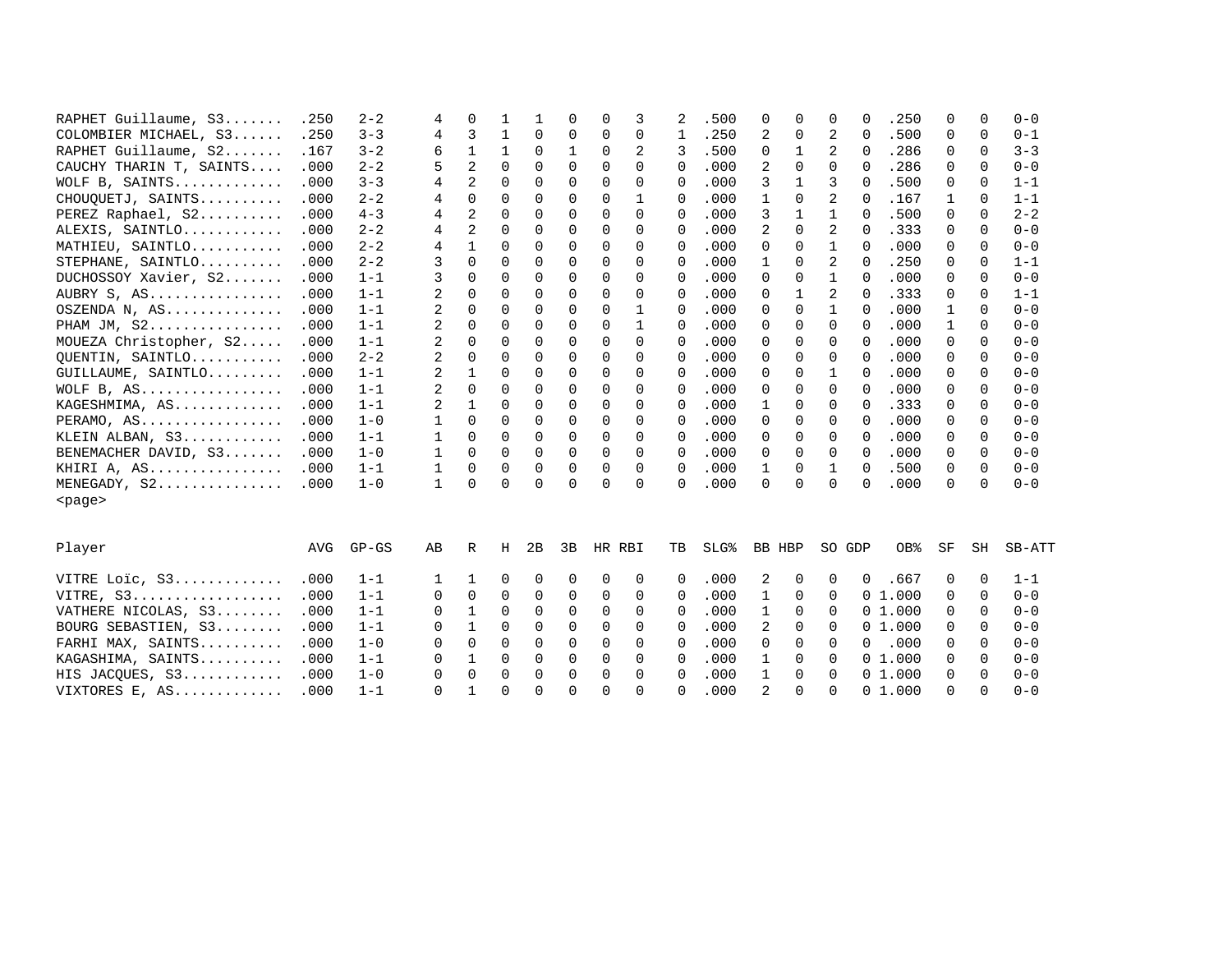| RAPHET Guillaume, S3    | .250 | $2 - 2$ | 4            | 0              |          |             | 0           | $\Omega$ | 3           | 2           | .500             | 0            | 0            | 0            | $\Omega$    | .250   | 0            | 0           | $0 - 0$ |
|-------------------------|------|---------|--------------|----------------|----------|-------------|-------------|----------|-------------|-------------|------------------|--------------|--------------|--------------|-------------|--------|--------------|-------------|---------|
| COLOMBIER MICHAEL, S3   | .250 | $3 - 3$ | 4            | 3              | 1        | 0           | 0           | 0        | 0           | 1           | .250             | 2            | 0            | 2            | $\Omega$    | .500   | 0            | 0           | $0 - 1$ |
| RAPHET Guillaume, S2    | .167 | $3 - 2$ | 6            | 1              | 1        | 0           | 1           | $\Omega$ | 2           | 3           | .500             | 0            | $\mathbf{1}$ | 2            | $\Omega$    | .286   | 0            | 0           | $3 - 3$ |
| CAUCHY THARIN T, SAINTS | .000 | $2 - 2$ | 5            | $\overline{a}$ | $\Omega$ | $\Omega$    | $\Omega$    | $\Omega$ | $\Omega$    | $\Omega$    | .000             | 2            | $\Omega$     | $\Omega$     | $\Omega$    | .286   | $\Omega$     | $\Omega$    | $0 - 0$ |
| WOLF B, SAINTS          | .000 | $3 - 3$ | 4            | 2              | $\Omega$ | $\Omega$    | $\Omega$    | $\Omega$ | 0           | $\Omega$    | .000             | 3            | $\mathbf{1}$ | 3            | $\Omega$    | .500   | 0            | $\Omega$    | $1 - 1$ |
| CHOUQUETJ, SAINTS       | .000 | $2 - 2$ | 4            | $\Omega$       | $\Omega$ | 0           | $\Omega$    | $\Omega$ | 1           | $\Omega$    | .000             | 1            | 0            | 2            | $\Omega$    | .167   | $\mathbf{1}$ | $\Omega$    | $1 - 1$ |
| PEREZ Raphael, S2       | .000 | $4 - 3$ | 4            | $\overline{a}$ | $\Omega$ | $\Omega$    | $\Omega$    | $\Omega$ | $\Omega$    | $\Omega$    | .000             | 3            | $\mathbf{1}$ | $\mathbf{1}$ | $\Omega$    | .500   | $\Omega$     | $\Omega$    | $2 - 2$ |
| ALEXIS, SAINTLO         | .000 | $2 - 2$ | 4            | 2              | $\Omega$ | 0           | 0           | $\Omega$ | $\Omega$    | 0           | .000             | 2            | 0            | 2            | $\Omega$    | .333   | 0            | 0           | $0 - 0$ |
| MATHIEU, SAINTLO        | .000 | $2 - 2$ | 4            | $\mathbf{1}$   | 0        | $\mathbf 0$ | $\mathbf 0$ | $\Omega$ | $\Omega$    | 0           | .000             | $\mathbf 0$  | $\mathbf 0$  | $\mathbf 1$  | $\Omega$    | .000   | 0            | $\mathbf 0$ | $0 - 0$ |
| STEPHANE, SAINTLO       | .000 | $2 - 2$ | 3            | $\Omega$       | $\Omega$ | $\mathbf 0$ | $\mathbf 0$ | $\Omega$ | $\Omega$    | 0           | .000             | $\mathbf{1}$ | $\mathbf 0$  | 2            | $\Omega$    | .250   | 0            | $\Omega$    | $1 - 1$ |
| DUCHOSSOY Xavier, S2    | .000 | $1 - 1$ | 3            | 0              | 0        | 0           | 0           | $\Omega$ | 0           | 0           | .000             | 0            | $\mathbf 0$  | $\mathbf 1$  | $\Omega$    | .000   | 0            | $\mathbf 0$ | $0 - 0$ |
| AUBRY S, AS             | .000 | $1 - 1$ | 2            | 0              | 0        | $\mathbf 0$ | 0           | $\Omega$ | 0           | 0           | .000             | 0            | $\mathbf{1}$ | 2            | $\Omega$    | .333   | 0            | 0           | $1 - 1$ |
| OSZENDA N, AS           | .000 | $1 - 1$ | 2            | 0              | $\Omega$ | 0           | 0           | $\Omega$ | $\mathbf 1$ | 0           | .000             | 0            | 0            | $\mathbf 1$  | $\Omega$    | .000   | 1            | $\Omega$    | $0 - 0$ |
| PHAM JM, $S2$           | .000 | $1 - 1$ | 2            | 0              | 0        | 0           | 0           | $\Omega$ | 1           | 0           | .000             | 0            | 0            | $\Omega$     | $\Omega$    | .000   | 1            | $\Omega$    | $0 - 0$ |
| MOUEZA Christopher, S2  | .000 | $1 - 1$ | 2            | 0              | 0        | 0           | $\mathbf 0$ | 0        | 0           | $\mathbf 0$ | .000             | 0            | 0            | 0            | $\Omega$    | .000   | 0            | 0           | $0 - 0$ |
| QUENTIN, SAINTLO        | .000 | $2 - 2$ | 2            | 0              | 0        | 0           | 0           | $\Omega$ | $\Omega$    | 0           | .000             | 0            | 0            | 0            | $\Omega$    | .000   | 0            | $\Omega$    | $0 - 0$ |
| GUILLAUME, SAINTLO      | .000 | $1 - 1$ | 2            | 1              | 0        | 0           | 0           | $\Omega$ | $\Omega$    | 0           | .000             | 0            | 0            | 1            | $\Omega$    | .000   | 0            | $\Omega$    | $0 - 0$ |
| WOLF B, AS              | .000 | $1 - 1$ | 2            | $\Omega$       | $\Omega$ | 0           | $\Omega$    | $\Omega$ | $\Omega$    | $\Omega$    | .000             | $\Omega$     | $\Omega$     | $\Omega$     | $\Omega$    | .000   | 0            | $\Omega$    | $0 - 0$ |
| KAGESHMIMA, AS          | .000 | $1 - 1$ | 2            | 1              | $\Omega$ | 0           | $\Omega$    | $\Omega$ | $\Omega$    | $\Omega$    | .000             | 1            | $\Omega$     | $\Omega$     | $\Omega$    | .333   | 0            | $\Omega$    | $0 - 0$ |
| PERAMO, AS              | .000 | $1 - 0$ | 1            | $\Omega$       | $\Omega$ | $\Omega$    | $\Omega$    | $\Omega$ | $\Omega$    | $\Omega$    | .000             | $\Omega$     | $\Omega$     | $\Omega$     | $\Omega$    | .000   | $\Omega$     | $\Omega$    | $0 - 0$ |
| KLEIN ALBAN, S3         | .000 | $1 - 1$ | 1            | $\Omega$       | $\Omega$ | 0           | $\Omega$    | $\Omega$ | $\Omega$    | $\Omega$    | .000             | 0            | $\Omega$     | $\Omega$     | $\Omega$    | .000   | 0            | $\Omega$    | $0 - 0$ |
| BENEMACHER DAVID, S3    | .000 | $1 - 0$ | 1            | $\Omega$       | $\Omega$ | $\Omega$    | $\Omega$    | $\Omega$ | $\Omega$    | $\Omega$    | .000             | $\Omega$     | $\Omega$     | $\Omega$     | $\Omega$    | .000   | 0            | $\Omega$    | $0 - 0$ |
| KHIRI A, AS             | .000 | $1 - 1$ | 1            | 0              | 0        | 0           | 0           | 0        | 0           | 0           | .000             | 1            | 0            | 1            | $\Omega$    | .500   | 0            | 0           | $0 - 0$ |
| MENEGADY, S2            | .000 | $1 - 0$ | $\mathbf{1}$ | $\Omega$       | $\Omega$ | $\Omega$    | $\Omega$    | $\Omega$ | $\Omega$    | 0           | .000             | $\Omega$     | $\Omega$     | $\Omega$     | $\Omega$    | .000   | $\Omega$     | $\Omega$    | $0 - 0$ |
| <page></page>           |      |         |              |                |          |             |             |          |             |             |                  |              |              |              |             |        |              |             |         |
| Player                  | AVG  | $GP-GS$ | AB           | R              | Н        | 2B          | 3B          | HR RBI   |             | TВ          | SLG <sup>8</sup> | BB HBP       |              | SO GDP       |             | OB%    | SF           | SH          | SB-ATT  |
| VITRE Loic, S3          | .000 | $1 - 1$ | 1            | 1              | 0        | 0           | 0           | 0        | 0           | 0           | .000             | 2            | 0            | 0            | $\mathbf 0$ | .667   | 0            | 0           | $1 - 1$ |
| VITRE, S3               | .000 | $1 - 1$ | 0            | 0              | 0        | 0           | 0           | 0        | $\Omega$    | $\Omega$    | .000             | 1            | 0            | 0            |             | 01.000 | 0            | 0           | $0 - 0$ |
| VATHERE NICOLAS, S3     | .000 | $1 - 1$ | 0            | 1              | 0        | 0           | 0           | 0        | 0           | 0           | .000             | 1            | $\Omega$     | 0            |             | 01.000 | 0            | 0           | $0 - 0$ |
| BOURG SEBASTIEN, S3     | .000 | $1 - 1$ | $\Omega$     | $\mathbf{1}$   | $\Omega$ | $\Omega$    | $\Omega$    | $\Omega$ | $\Omega$    | $\Omega$    | .000             | 2            | $\Omega$     | $\Omega$     |             | 01.000 | $\Omega$     | $\Omega$    | $0 - 0$ |
| FARHI MAX, SAINTS       | .000 | $1 - 0$ | 0            | 0              | $\Omega$ | $\Omega$    | $\Omega$    | $\Omega$ | $\Omega$    | $\Omega$    | .000             | $\Omega$     | $\Omega$     | $\Omega$     | $\Omega$    | .000   | $\Omega$     | $\Omega$    | $0 - 0$ |
| KAGASHIMA, SAINTS       | .000 | $1 - 1$ | 0            | 1              | $\Omega$ | 0           | 0           | 0        | 0           | $\Omega$    | .000             | 1            | $\Omega$     | $\Omega$     |             | 01.000 | 0            | 0           | $0 - 0$ |
| HIS JACQUES, S3         | .000 | $1 - 0$ | $\Omega$     | $\Omega$       | $\Omega$ | $\Omega$    | $\Omega$    | $\Omega$ | $\Omega$    | $\Omega$    | .000             | 1            | $\Omega$     | $\Omega$     |             | 01.000 | $\Omega$     | $\Omega$    | $0 - 0$ |
| VIXTORES E, AS          | .000 | $1 - 1$ | $\Omega$     | $\mathbf{1}$   | $\Omega$ | $\Omega$    | $\Omega$    | $\Omega$ | $\Omega$    | 0           | .000             | 2            | $\Omega$     | $\Omega$     |             | 01.000 | $\Omega$     | $\Omega$    | $0 - 0$ |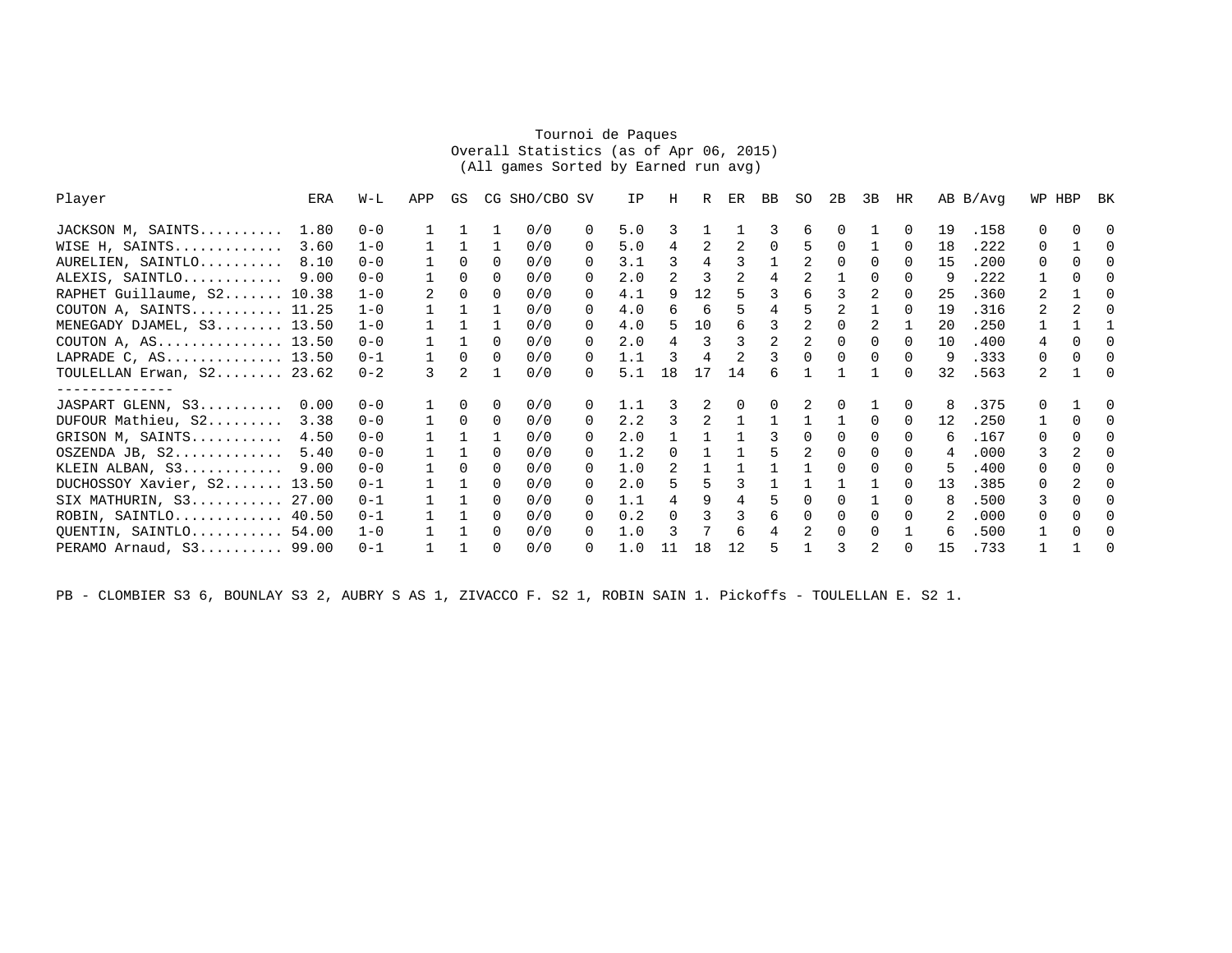## Tournoi de Paques Overall Statistics (as of Apr 06, 2015)(All games Sorted by Earned run avg)

| Player                     | ERA   | W-L     | APP | GS           |              | CG SHO/CBO SV |                  | IP  | Н             | R  | ER       | BB       | SO | 2B       | 3B | HR       |    | AB B/Avg |              | WP HBP       | BK       |
|----------------------------|-------|---------|-----|--------------|--------------|---------------|------------------|-----|---------------|----|----------|----------|----|----------|----|----------|----|----------|--------------|--------------|----------|
| JACKSON M, SAINTS          | 1.80  | $0 - 0$ |     |              |              | 0/0           | $\Omega$         | 5.0 | 3             |    |          |          | 6  | $\Omega$ |    | $\Omega$ | 19 | .158     | O.           |              |          |
| WISE H, SAINTS             | 3.60  | $1 - 0$ |     |              |              | 0/0           | $\left( \right)$ | 5.0 | 4             |    | 2        |          | 5  | $\Omega$ |    | $\Omega$ | 18 | .222     | $\Omega$     |              | $\Omega$ |
| AURELIEN, SAINTLO          | 8.10  | $0 - 0$ |     | $\Omega$     | 0            | 0/0           | 0                | 3.1 | 3             | 4  | 3        |          |    | $\Omega$ | 0  | $\Omega$ | 15 | .200     | $\Omega$     | ∩            |          |
| ALEXIS, SAINTLO            | 9.00  | $0 - 0$ |     | $\Omega$     | 0            | 0/0           | 0                | 2.0 | 2             | 3  | 2        | 4        | 2  |          | 0  | $\Omega$ | 9  | .222     |              | 0            |          |
| RAPHET Guillaume, S2 10.38 |       | $1 - 0$ | 2   | $\Omega$     | $\Omega$     | 0/0           | 0                | 4.1 | 9             | 12 | 5        |          | 6  | 3        |    | $\Omega$ | 25 | .360     | 2            |              | $\Omega$ |
| COUTON A, SAINTS 11.25     |       | $1 - 0$ |     |              |              | 0/0           | 0                | 4.0 | ี             | 6  |          |          |    |          |    | $\cap$   | 19 | .316     |              |              | $\cap$   |
| MENEGADY DJAMEL, S3 13.50  |       | $1 - 0$ |     |              |              | 0/0           | 0                | 4.0 | 5             | 10 | 6        |          | 2  | $\Omega$ | 2  |          | 20 | .250     |              |              |          |
| COUTON A, $AS$ 13.50       |       | $0 - 0$ |     |              | $\Omega$     | 0/0           | 0                | 2.0 | 4             | 3  | 3        |          |    | $\Omega$ | 0  | $\cap$   | 10 | .400     | 4            | ∩            |          |
| LAPRADE C, AS 13.50        |       | $0 - 1$ |     | $\cap$       | $\Omega$     | 0/0           | $\Omega$         | 1.1 |               |    |          |          |    | $\Omega$ | 0  | n        | 9  | .333     | $\Omega$     | 0            | $\Omega$ |
| TOULELLAN Erwan, S2 23.62  |       | $0 - 2$ | 3   | 2            |              | 0/0           | 0                | 5.1 | 18            | 17 | 14       | 6        |    |          |    | $\Omega$ | 32 | .563     | 2            |              | $\cap$   |
|                            |       |         |     |              |              |               |                  |     |               |    |          |          |    |          |    |          |    |          |              |              |          |
| JASPART GLENN, S3          | 0.00  | $0 - 0$ |     | <sup>n</sup> | $\Omega$     | 0/0           | 0                | 1.1 |               |    | $\Omega$ | $\Omega$ |    | $\Omega$ |    | $\Omega$ | 8  | .375     | <sup>n</sup> |              |          |
| DUFOUR Mathieu, S2         | 3.38  | $0 - 0$ |     | $\Omega$     | $\Omega$     | 0/0           | O.               | 2.2 | २             | 2  |          |          |    |          | 0  | $\Omega$ | 12 | .250     |              | <sup>n</sup> | $\Omega$ |
| GRISON M, SAINTS           | 4.50  | $0 - 0$ |     |              |              | 0/0           | 0                | 2.0 |               |    |          |          |    |          |    |          | 6  | .167     | $\Omega$     |              |          |
| OSZENDA JB, S2             | 5.40  | $0 - 0$ |     |              | $\Omega$     | 0/0           | 0                | 1.2 | 0             |    |          |          | 2  | $\Omega$ | 0  | $\Omega$ |    | .000     | 3            |              | $\Omega$ |
| KLEIN ALBAN, S3            | 9.00  | $0 - 0$ |     | <sup>n</sup> | $\Omega$     | 0/0           | 0                | 1.0 | $\mathcal{L}$ |    |          |          |    | $\Omega$ | 0  | $\Omega$ | 5  | .400     | $\Omega$     | ∩            |          |
| DUCHOSSOY Xavier, S2 13.50 |       | $0 - 1$ |     |              | <sup>n</sup> | 0/0           | O.               | 2.0 |               |    | ς        |          |    |          |    | $\cap$   | 13 | .385     | <sup>n</sup> |              | $\cap$   |
| SIX MATHURIN, $S3$ 27.00   |       | $0 - 1$ |     |              | <sup>n</sup> | 0/0           | $\left( \right)$ | 1.1 |               | 9  | 4        |          |    |          |    | $\cap$   | 8  | .500     | 3            |              |          |
| $ROBIN, SAINTLO$ 40.50     |       | $0 - 1$ |     |              | 0            | 0/0           | 0                | 0.2 | $\Omega$      |    | 3        | 6        |    | $\Omega$ | 0  | $\Omega$ |    | .000     | $\Omega$     |              |          |
| QUENTIN, SAINTLO           | 54.00 | $1 - 0$ |     |              | $\Omega$     | 0/0           | 0                | 1.0 |               |    | 6        | 4        |    | $\Omega$ | 0  |          | 6  | .500     |              | ∩            |          |
| PERAMO Arnaud, $S3$ 99.00  |       | $0 - 1$ |     |              | 0            | 0/0           | 0                | 1.0 |               | 18 | 12       | 5        |    | 3        | 2  | $\Omega$ | 15 | .733     |              |              | $\Omega$ |

PB - CLOMBIER S3 6, BOUNLAY S3 2, AUBRY S AS 1, ZIVACCO F. S2 1, ROBIN SAIN 1. Pickoffs - TOULELLAN E. S2 1.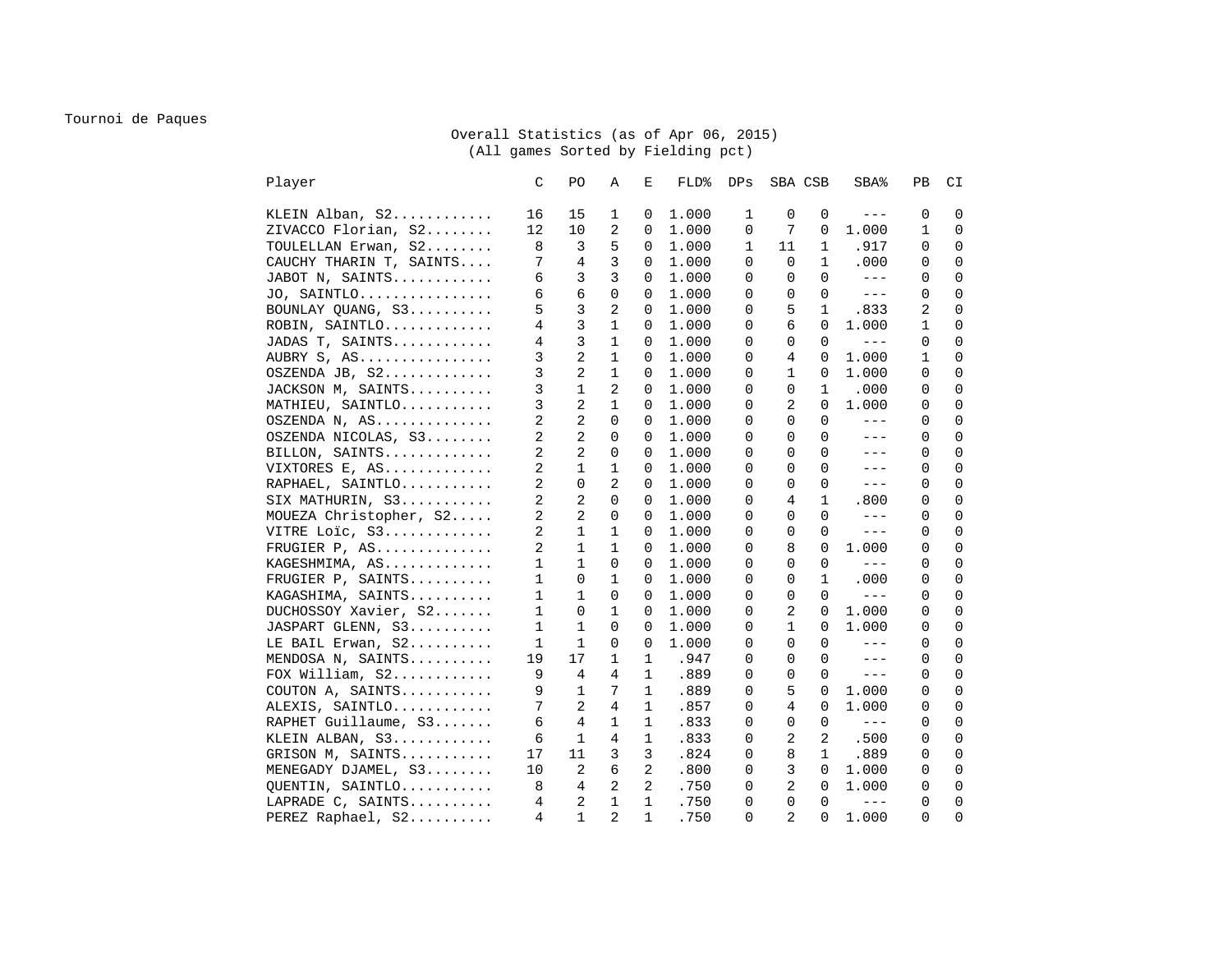## Tournoi de Paques

## Overall Statistics (as of Apr 06, 2015) (All games Sorted by Fielding pct)

| Player | C                                        | PO.            | Α            | E              | FLD%  | DPs         | SBA CSB        |              | SBA%                | PВ       | CI           |
|--------|------------------------------------------|----------------|--------------|----------------|-------|-------------|----------------|--------------|---------------------|----------|--------------|
|        | KLEIN Alban, S2<br>16                    | 15             | 1            | 0              | 1.000 | 1           | 0              | 0            | $\qquad \qquad - -$ | 0        | 0            |
|        | ZIVACCO Florian, S2<br>12                | 10             | 2            | 0              | 1.000 | 0           | 7              | 0            | 1.000               | 1        | 0            |
|        | 8<br>TOULELLAN Erwan, S2                 | 3              | 5            | 0              | 1.000 | 1           | 11             | $\mathbf{1}$ | .917                | 0        | $\mathbf 0$  |
|        | 7<br>CAUCHY THARIN T, SAINTS             | 4              | 3            | $\Omega$       | 1,000 | $\Omega$    | $\Omega$       | $\mathbf{1}$ | .000                | 0        | $\mathbf 0$  |
|        | JABOT N, SAINTS<br>6                     | 3              | 3            | 0              | 1.000 | 0           | 0              | $\Omega$     | $- - -$             | 0        | 0            |
|        | JO, SAINTLO<br>6                         | 6              | 0            | 0              | 1.000 | $\Omega$    | 0              | $\Omega$     | $---$               | 0        | $\mathbf 0$  |
|        | 5<br>BOUNLAY QUANG, S3                   | 3              | 2            | 0              | 1.000 | $\Omega$    | 5              | $\mathbf{1}$ | .833                | 2        | $\mathbf 0$  |
|        | 4<br>ROBIN, SAINTLO                      | 3              | $\mathbf 1$  | 0              | 1.000 | $\mathbf 0$ | 6              | $\Omega$     | 1.000               | 1        | $\mathbf 0$  |
|        | 4<br>JADAS T, SAINTS                     | 3              | 1            | 0              | 1.000 | 0           | 0              | $\Omega$     | $\qquad \qquad - -$ | 0        | $\mathbf 0$  |
|        | 3<br>AUBRY S, AS                         | 2              | $\mathbf{1}$ | 0              | 1.000 | 0           | 4              | 0            | 1.000               | 1        | 0            |
|        | 3<br>OSZENDA JB, S2                      | 2              | 1            | 0              | 1.000 | 0           | 1              | 0            | 1.000               | 0        | $\mathbf{0}$ |
|        | 3<br>JACKSON M, SAINTS                   | $\mathbf 1$    | 2            | $\Omega$       | 1.000 | $\Omega$    | $\Omega$       | 1            | .000                | $\Omega$ | $\Omega$     |
|        | 3<br>MATHIEU, SAINTLO                    | 2              | $\mathbf{1}$ | 0              | 1.000 | 0           | 2              | $\Omega$     | 1,000               | 0        | $\mathbf 0$  |
|        | 2<br>OSZENDA N, AS                       | 2              | $\mathbf 0$  | 0              | 1.000 | 0           | 0              | 0            | $---$               | 0        | $\mathbf 0$  |
|        | 2<br>OSZENDA NICOLAS, S3                 | 2              | $\mathbf 0$  | 0              | 1.000 | 0           | 0              | $\Omega$     | $---$               | 0        | $\mathbf 0$  |
|        | 2<br>BILLON, SAINTS                      | $\overline{a}$ | $\mathbf 0$  | 0              | 1.000 | $\Omega$    | $\Omega$       | $\Omega$     | $---$               | $\Omega$ | $\mathbf 0$  |
|        | 2<br>VIXTORES E, AS                      | $\mathbf 1$    | $\mathbf{1}$ | $\Omega$       | 1.000 | $\Omega$    | $\Omega$       | $\Omega$     | $---$               | $\Omega$ | $\Omega$     |
|        | 2<br>RAPHAEL, SAINTLO                    | $\mathbf 0$    | 2            | 0              | 1.000 | 0           | 0              | 0            | $---$               | 0        | $\mathbf 0$  |
|        | 2<br>SIX MATHURIN, S3                    | 2              | 0            | 0              | 1.000 | 0           | 4              | $\mathbf{1}$ | .800                | 0        | $\mathbf 0$  |
|        | $\overline{a}$<br>MOUEZA Christopher, S2 | $\overline{a}$ | $\mathbf 0$  | $\Omega$       | 1.000 | $\Omega$    | $\Omega$       | $\Omega$     | $- - -$             | 0        | $\mathbf 0$  |
|        | 2<br>VITRE Loic, S3                      | $\mathbf 1$    | $\mathbf 1$  | $\Omega$       | 1.000 | 0           | $\Omega$       | $\Omega$     | $- - - \,$          | $\Omega$ | $\mathbf 0$  |
|        | 2<br>FRUGIER P, AS                       | 1              | 1            | 0              | 1.000 | 0           | 8              | 0            | 1.000               | 0        | $\mathbf 0$  |
|        | 1<br>KAGESHMIMA, AS                      | 1              | 0            | 0              | 1.000 | 0           | 0              | $\Omega$     | $---$               | 0        | $\mathbf 0$  |
|        | FRUGIER P, SAINTS<br>1                   | $\mathbf 0$    | $\mathbf{1}$ | 0              | 1.000 | 0           | 0              | $\mathbf{1}$ | .000                | 0        | $\mathbf 0$  |
|        | $\mathbf{1}$<br>KAGASHIMA, SAINTS        | $\mathbf{1}$   | $\Omega$     | $\Omega$       | 1,000 | $\Omega$    | $\Omega$       | $\Omega$     | $- - - \, -$        | $\Omega$ | $\mathbf 0$  |
|        | DUCHOSSOY Xavier, S2<br>1                | 0              | 1            | 0              | 1.000 | 0           | 2              | $\Omega$     | 1.000               | 0        | 0            |
|        | JASPART GLENN, S3<br>1                   | 1              | 0            | 0              | 1.000 | 0           | 1              | 0            | 1,000               | 0        | $\mathbf 0$  |
|        | LE BAIL Erwan, S2<br>1                   | 1              | 0            | 0              | 1.000 | $\Omega$    | 0              | $\Omega$     | $---$               | 0        | $\mathbf 0$  |
|        | 19<br>MENDOSA N, SAINTS                  | 17             | $\mathbf{1}$ | 1              | .947  | 0           | $\Omega$       | $\Omega$     | $- - -$             | $\Omega$ | $\mathbf 0$  |
|        | 9<br>FOX William, $S2$                   | 4              | 4            | $\mathbf 1$    | .889  | 0           | 0              | $\Omega$     | $\qquad \qquad - -$ | 0        | $\mathbf 0$  |
|        | COUTON A, SAINTS<br>9                    | 1              | 7            | 1              | .889  | 0           | 5              | 0            | 1.000               | 0        | 0            |
|        | 7<br>ALEXIS, SAINTLO                     | 2              | 4            | 1              | .857  | 0           | 4              | 0            | 1,000               | 0        | $\mathbf 0$  |
|        | RAPHET Guillaume, S3<br>6                | 4              | 1            | $\mathbf 1$    | .833  | $\Omega$    | $\Omega$       | $\Omega$     | $\qquad \qquad - -$ | $\Omega$ | $\Omega$     |
|        | KLEIN ALBAN, S3<br>6                     | 1              | 4            | 1              | .833  | 0           | 2              | 2            | .500                | 0        | 0            |
|        | GRISON M, SAINTS<br>17                   | 11             | 3            | 3              | .824  | 0           | 8              | $\mathbf{1}$ | .889                | 0        | $\mathbf 0$  |
|        | MENEGADY DJAMEL, S3<br>10                | 2              | 6            | 2              | .800  | 0           | 3              | $\mathbf 0$  | 1.000               | 0        | 0            |
|        | QUENTIN, SAINTLO<br>8                    | 4              | 2            | $\overline{a}$ | .750  | 0           | 2              | $\Omega$     | 1.000               | $\Omega$ | $\mathbf 0$  |
|        | LAPRADE C, SAINTS<br>4                   | 2              | $\mathbf 1$  | $\mathbf 1$    | .750  | 0           | 0              | $\mathbf 0$  | $\qquad \qquad - -$ | $\Omega$ | $\mathbf 0$  |
|        | 4<br>PEREZ Raphael, S2                   | $\mathbf{1}$   | 2            | $\mathbf{1}$   | .750  | $\Omega$    | $\overline{2}$ | 0            | 1.000               | 0        | $\Omega$     |